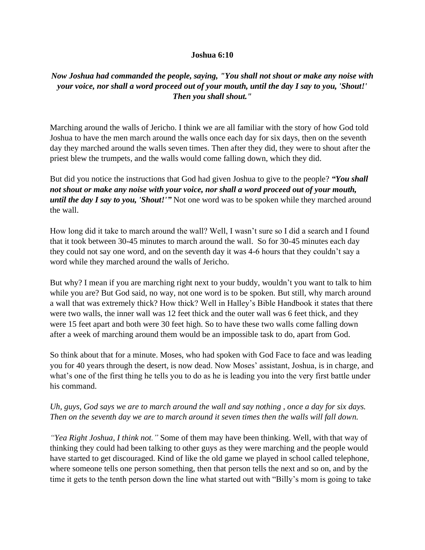## **Joshua 6:10**

## *Now Joshua had commanded the people, saying, "You shall not shout or make any noise with your voice, nor shall a word proceed out of your mouth, until the day I say to you, 'Shout!' Then you shall shout."*

Marching around the walls of Jericho. I think we are all familiar with the story of how God told Joshua to have the men march around the walls once each day for six days, then on the seventh day they marched around the walls seven times. Then after they did, they were to shout after the priest blew the trumpets, and the walls would come falling down, which they did.

But did you notice the instructions that God had given Joshua to give to the people? *"You shall not shout or make any noise with your voice, nor shall a word proceed out of your mouth, until the day I say to you, 'Shout!'*" Not one word was to be spoken while they marched around the wall.

How long did it take to march around the wall? Well, I wasn't sure so I did a search and I found that it took between 30-45 minutes to march around the wall. So for 30-45 minutes each day they could not say one word, and on the seventh day it was 4-6 hours that they couldn't say a word while they marched around the walls of Jericho.

But why? I mean if you are marching right next to your buddy, wouldn't you want to talk to him while you are? But God said, no way, not one word is to be spoken. But still, why march around a wall that was extremely thick? How thick? Well in Halley's Bible Handbook it states that there were two walls, the inner wall was 12 feet thick and the outer wall was 6 feet thick, and they were 15 feet apart and both were 30 feet high. So to have these two walls come falling down after a week of marching around them would be an impossible task to do, apart from God.

So think about that for a minute. Moses, who had spoken with God Face to face and was leading you for 40 years through the desert, is now dead. Now Moses' assistant, Joshua, is in charge, and what's one of the first thing he tells you to do as he is leading you into the very first battle under his command.

## *Uh, guys, God says we are to march around the wall and say nothing , once a day for six days. Then on the seventh day we are to march around it seven times then the walls will fall down.*

*"Yea Right Joshua, I think not."* Some of them may have been thinking. Well, with that way of thinking they could had been talking to other guys as they were marching and the people would have started to get discouraged. Kind of like the old game we played in school called telephone, where someone tells one person something, then that person tells the next and so on, and by the time it gets to the tenth person down the line what started out with "Billy's mom is going to take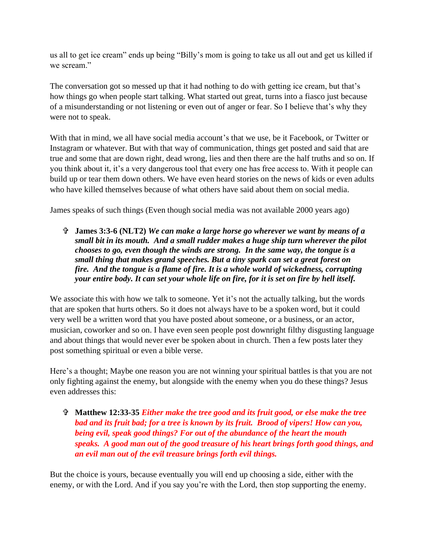us all to get ice cream" ends up being "Billy's mom is going to take us all out and get us killed if we scream."

The conversation got so messed up that it had nothing to do with getting ice cream, but that's how things go when people start talking. What started out great, turns into a fiasco just because of a misunderstanding or not listening or even out of anger or fear. So I believe that's why they were not to speak.

With that in mind, we all have social media account's that we use, be it Facebook, or Twitter or Instagram or whatever. But with that way of communication, things get posted and said that are true and some that are down right, dead wrong, lies and then there are the half truths and so on. If you think about it, it's a very dangerous tool that every one has free access to. With it people can build up or tear them down others. We have even heard stories on the news of kids or even adults who have killed themselves because of what others have said about them on social media.

James speaks of such things (Even though social media was not available 2000 years ago)

 **James 3:3-6 (NLT2)** *We can make a large horse go wherever we want by means of a small bit in its mouth. And a small rudder makes a huge ship turn wherever the pilot chooses to go, even though the winds are strong. In the same way, the tongue is a small thing that makes grand speeches. But a tiny spark can set a great forest on fire. And the tongue is a flame of fire. It is a whole world of wickedness, corrupting your entire body. It can set your whole life on fire, for it is set on fire by hell itself.*

We associate this with how we talk to someone. Yet it's not the actually talking, but the words that are spoken that hurts others. So it does not always have to be a spoken word, but it could very well be a written word that you have posted about someone, or a business, or an actor, musician, coworker and so on. I have even seen people post downright filthy disgusting language and about things that would never ever be spoken about in church. Then a few posts later they post something spiritual or even a bible verse.

Here's a thought; Maybe one reason you are not winning your spiritual battles is that you are not only fighting against the enemy, but alongside with the enemy when you do these things? Jesus even addresses this:

 **Matthew 12:33-35** *Either make the tree good and its fruit good, or else make the tree bad and its fruit bad; for a tree is known by its fruit. Brood of vipers! How can you, being evil, speak good things? For out of the abundance of the heart the mouth speaks. A good man out of the good treasure of his heart brings forth good things, and an evil man out of the evil treasure brings forth evil things.*

But the choice is yours, because eventually you will end up choosing a side, either with the enemy, or with the Lord. And if you say you're with the Lord, then stop supporting the enemy.